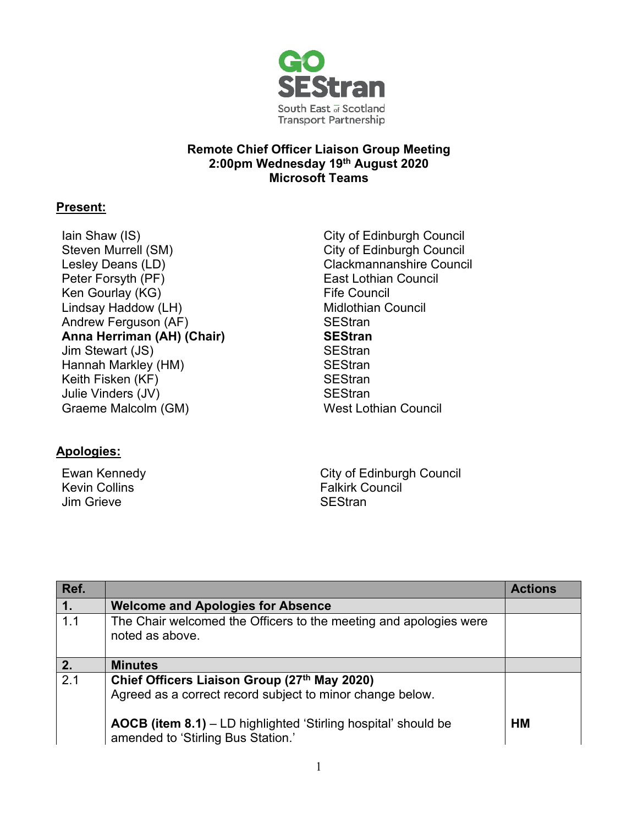

## **Remote Chief Officer Liaison Group Meeting 2:00pm Wednesday 19th August 2020 Microsoft Teams**

## **Present:**

- Iain Shaw (IS) Steven Murrell (SM)<br>Lesley Deans (LD) Peter Forsyth (PF) **East Lothian Council** Ken Gourlay (KG) Lindsay Haddow (LH) Andrew Ferguson (AF) **Anna Herriman (AH) (Chair)** Jim Stewart (JS) Hannah Markley (HM) Keith Fisken (KF) Julie Vinders (JV) Graeme Malcolm (GM)
- City of Edinburgh Council City of Edinburgh Council Clackmannanshire Council Fife Council Midlothian Council **SEStran SEStran SEStran SEStran** SEStran<br>West Lothian Council

## **Apologies:**

Ewan Kennedy Kevin Collins Jim Grieve

City of Edinburgh Council Falkirk Council **SEStran** 

| Ref.       |                                                                                                             | <b>Actions</b> |
|------------|-------------------------------------------------------------------------------------------------------------|----------------|
| $\vert$ 1. | <b>Welcome and Apologies for Absence</b>                                                                    |                |
| 1.1        | The Chair welcomed the Officers to the meeting and apologies were<br>noted as above.                        |                |
| 2.7        | <b>Minutes</b>                                                                                              |                |
| 2.1        | Chief Officers Liaison Group (27th May 2020)<br>Agreed as a correct record subject to minor change below.   |                |
|            | <b>AOCB (item 8.1)</b> – LD highlighted 'Stirling hospital' should be<br>amended to 'Stirling Bus Station.' | <b>HM</b>      |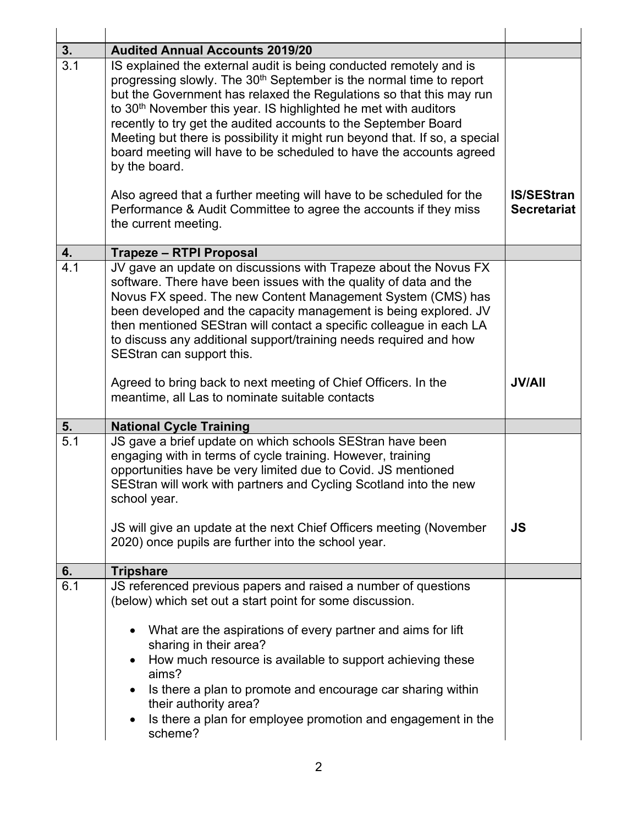| 3.  | <b>Audited Annual Accounts 2019/20</b>                                                                                                                                                                                                                                                                                                                                                                                                                                                                                                                                                                                        |                    |
|-----|-------------------------------------------------------------------------------------------------------------------------------------------------------------------------------------------------------------------------------------------------------------------------------------------------------------------------------------------------------------------------------------------------------------------------------------------------------------------------------------------------------------------------------------------------------------------------------------------------------------------------------|--------------------|
| 3.1 | IS explained the external audit is being conducted remotely and is<br>progressing slowly. The 30 <sup>th</sup> September is the normal time to report<br>but the Government has relaxed the Regulations so that this may run<br>to 30 <sup>th</sup> November this year. IS highlighted he met with auditors<br>recently to try get the audited accounts to the September Board<br>Meeting but there is possibility it might run beyond that. If so, a special<br>board meeting will have to be scheduled to have the accounts agreed<br>by the board.<br>Also agreed that a further meeting will have to be scheduled for the | <b>IS/SEStran</b>  |
|     | Performance & Audit Committee to agree the accounts if they miss<br>the current meeting.                                                                                                                                                                                                                                                                                                                                                                                                                                                                                                                                      | <b>Secretariat</b> |
| 4.  | <b>Trapeze - RTPI Proposal</b>                                                                                                                                                                                                                                                                                                                                                                                                                                                                                                                                                                                                |                    |
| 4.1 | JV gave an update on discussions with Trapeze about the Novus FX<br>software. There have been issues with the quality of data and the<br>Novus FX speed. The new Content Management System (CMS) has<br>been developed and the capacity management is being explored. JV<br>then mentioned SEStran will contact a specific colleague in each LA<br>to discuss any additional support/training needs required and how<br>SEStran can support this.                                                                                                                                                                             |                    |
|     | Agreed to bring back to next meeting of Chief Officers. In the<br>meantime, all Las to nominate suitable contacts                                                                                                                                                                                                                                                                                                                                                                                                                                                                                                             | <b>JV/All</b>      |
| 5.  | <b>National Cycle Training</b>                                                                                                                                                                                                                                                                                                                                                                                                                                                                                                                                                                                                |                    |
| 5.1 | JS gave a brief update on which schools SEStran have been<br>engaging with in terms of cycle training. However, training<br>opportunities have be very limited due to Covid. JS mentioned<br>SEStran will work with partners and Cycling Scotland into the new<br>school year.                                                                                                                                                                                                                                                                                                                                                |                    |
|     | JS will give an update at the next Chief Officers meeting (November<br>2020) once pupils are further into the school year.                                                                                                                                                                                                                                                                                                                                                                                                                                                                                                    | <b>JS</b>          |
| 6.  | <b>Tripshare</b>                                                                                                                                                                                                                                                                                                                                                                                                                                                                                                                                                                                                              |                    |
| 6.1 | JS referenced previous papers and raised a number of questions<br>(below) which set out a start point for some discussion.<br>What are the aspirations of every partner and aims for lift<br>sharing in their area?<br>How much resource is available to support achieving these<br>aims?<br>Is there a plan to promote and encourage car sharing within<br>their authority area?<br>Is there a plan for employee promotion and engagement in the<br>scheme?                                                                                                                                                                  |                    |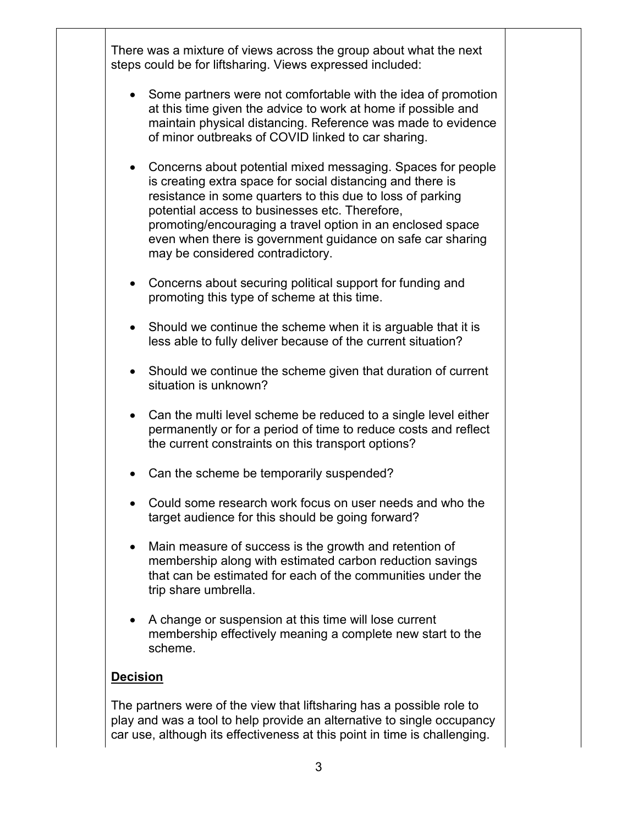There was a mixture of views across the group about what the next steps could be for liftsharing. Views expressed included: • Some partners were not comfortable with the idea of promotion at this time given the advice to work at home if possible and maintain physical distancing. Reference was made to evidence of minor outbreaks of COVID linked to car sharing. • Concerns about potential mixed messaging. Spaces for people is creating extra space for social distancing and there is resistance in some quarters to this due to loss of parking potential access to businesses etc. Therefore, promoting/encouraging a travel option in an enclosed space even when there is government guidance on safe car sharing may be considered contradictory. • Concerns about securing political support for funding and promoting this type of scheme at this time. • Should we continue the scheme when it is arguable that it is less able to fully deliver because of the current situation? • Should we continue the scheme given that duration of current situation is unknown? • Can the multi level scheme be reduced to a single level either permanently or for a period of time to reduce costs and reflect the current constraints on this transport options? • Can the scheme be temporarily suspended? • Could some research work focus on user needs and who the target audience for this should be going forward? • Main measure of success is the growth and retention of membership along with estimated carbon reduction savings that can be estimated for each of the communities under the trip share umbrella. • A change or suspension at this time will lose current membership effectively meaning a complete new start to the scheme. **Decision** The partners were of the view that liftsharing has a possible role to play and was a tool to help provide an alternative to single occupancy

car use, although its effectiveness at this point in time is challenging.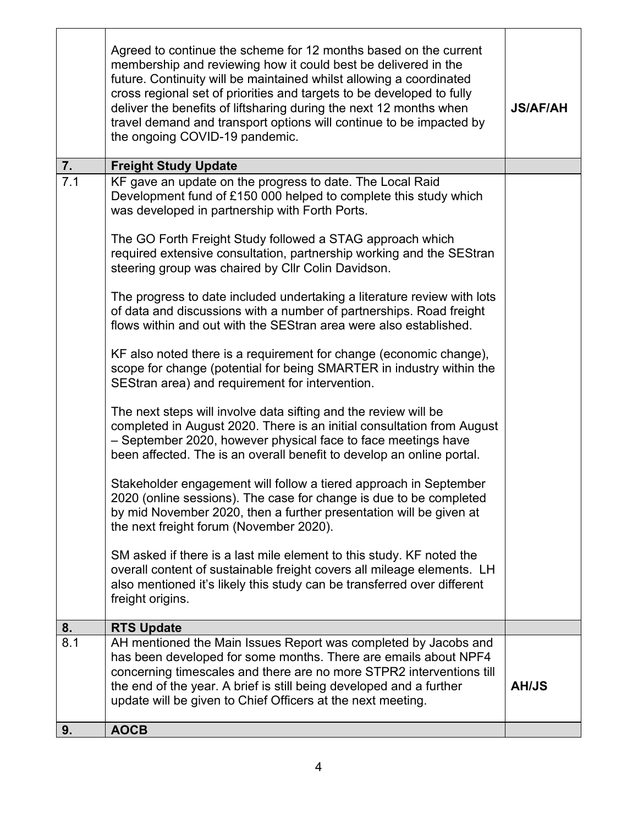|                  | Agreed to continue the scheme for 12 months based on the current<br>membership and reviewing how it could best be delivered in the<br>future. Continuity will be maintained whilst allowing a coordinated<br>cross regional set of priorities and targets to be developed to fully<br>deliver the benefits of liftsharing during the next 12 months when<br>travel demand and transport options will continue to be impacted by<br>the ongoing COVID-19 pandemic. | <b>JS/AF/AH</b> |
|------------------|-------------------------------------------------------------------------------------------------------------------------------------------------------------------------------------------------------------------------------------------------------------------------------------------------------------------------------------------------------------------------------------------------------------------------------------------------------------------|-----------------|
| 7.               | <b>Freight Study Update</b>                                                                                                                                                                                                                                                                                                                                                                                                                                       |                 |
| $\overline{7}.1$ | KF gave an update on the progress to date. The Local Raid<br>Development fund of £150 000 helped to complete this study which<br>was developed in partnership with Forth Ports.                                                                                                                                                                                                                                                                                   |                 |
|                  | The GO Forth Freight Study followed a STAG approach which<br>required extensive consultation, partnership working and the SEStran<br>steering group was chaired by Cllr Colin Davidson.                                                                                                                                                                                                                                                                           |                 |
|                  | The progress to date included undertaking a literature review with lots<br>of data and discussions with a number of partnerships. Road freight<br>flows within and out with the SEStran area were also established.                                                                                                                                                                                                                                               |                 |
|                  | KF also noted there is a requirement for change (economic change),<br>scope for change (potential for being SMARTER in industry within the<br>SEStran area) and requirement for intervention.                                                                                                                                                                                                                                                                     |                 |
|                  | The next steps will involve data sifting and the review will be<br>completed in August 2020. There is an initial consultation from August<br>- September 2020, however physical face to face meetings have<br>been affected. The is an overall benefit to develop an online portal.                                                                                                                                                                               |                 |
|                  | Stakeholder engagement will follow a tiered approach in September<br>2020 (online sessions). The case for change is due to be completed<br>by mid November 2020, then a further presentation will be given at<br>the next freight forum (November 2020).                                                                                                                                                                                                          |                 |
|                  | SM asked if there is a last mile element to this study. KF noted the<br>overall content of sustainable freight covers all mileage elements. LH<br>also mentioned it's likely this study can be transferred over different<br>freight origins.                                                                                                                                                                                                                     |                 |
| 8.               | <b>RTS Update</b>                                                                                                                                                                                                                                                                                                                                                                                                                                                 |                 |
| 8.1              | AH mentioned the Main Issues Report was completed by Jacobs and<br>has been developed for some months. There are emails about NPF4<br>concerning timescales and there are no more STPR2 interventions till<br>the end of the year. A brief is still being developed and a further<br>update will be given to Chief Officers at the next meeting.                                                                                                                  | <b>AH/JS</b>    |
| 9.               | <b>AOCB</b>                                                                                                                                                                                                                                                                                                                                                                                                                                                       |                 |